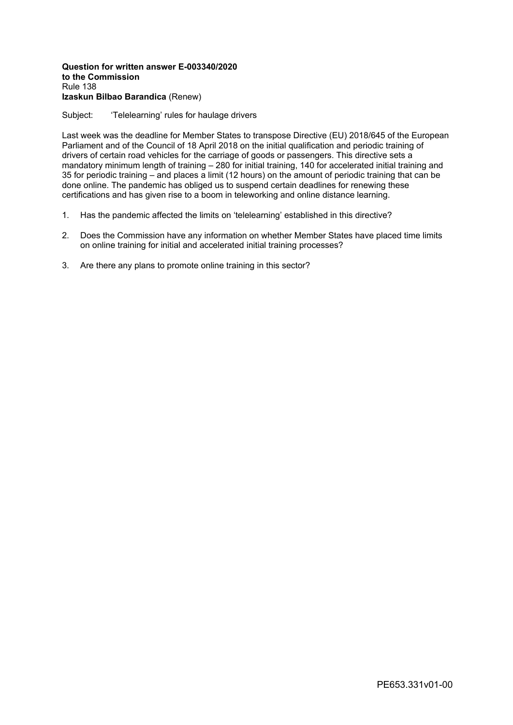## **Question for written answer E-003340/2020 to the Commission** Rule 138 **Izaskun Bilbao Barandica** (Renew)

## Subject: 'Telelearning' rules for haulage drivers

Last week was the deadline for Member States to transpose Directive (EU) 2018/645 of the European Parliament and of the Council of 18 April 2018 on the initial qualification and periodic training of drivers of certain road vehicles for the carriage of goods or passengers. This directive sets a mandatory minimum length of training – 280 for initial training, 140 for accelerated initial training and 35 for periodic training – and places a limit (12 hours) on the amount of periodic training that can be done online. The pandemic has obliged us to suspend certain deadlines for renewing these certifications and has given rise to a boom in teleworking and online distance learning.

- 1. Has the pandemic affected the limits on 'telelearning' established in this directive?
- 2. Does the Commission have any information on whether Member States have placed time limits on online training for initial and accelerated initial training processes?
- 3. Are there any plans to promote online training in this sector?